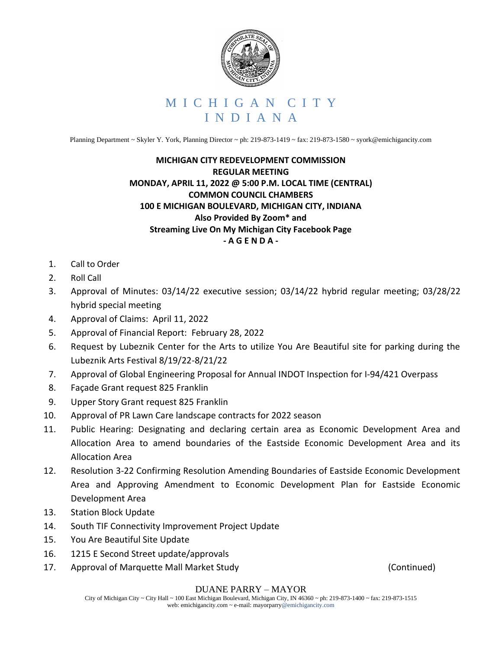

Planning Department ~ Skyler Y. York, Planning Director ~ ph: 219-873-1419 ~ fax: 219-873-1580 ~ syork@emichigancity.com

## **MICHIGAN CITY REDEVELOPMENT COMMISSION REGULAR MEETING MONDAY, APRIL 11, 2022 @ 5:00 P.M. LOCAL TIME (CENTRAL) COMMON COUNCIL CHAMBERS 100 E MICHIGAN BOULEVARD, MICHIGAN CITY, INDIANA Also Provided By Zoom\* and Streaming Live On My Michigan City Facebook Page - A G E N D A -**

- 1. Call to Order
- 2. Roll Call
- 3. Approval of Minutes: 03/14/22 executive session; 03/14/22 hybrid regular meeting; 03/28/22 hybrid special meeting
- 4. Approval of Claims: April 11, 2022
- 5. Approval of Financial Report: February 28, 2022
- 6. Request by Lubeznik Center for the Arts to utilize You Are Beautiful site for parking during the Lubeznik Arts Festival 8/19/22-8/21/22
- 7. Approval of Global Engineering Proposal for Annual INDOT Inspection for I-94/421 Overpass
- 8. Façade Grant request 825 Franklin
- 9. Upper Story Grant request 825 Franklin
- 10. Approval of PR Lawn Care landscape contracts for 2022 season
- 11. Public Hearing: Designating and declaring certain area as Economic Development Area and Allocation Area to amend boundaries of the Eastside Economic Development Area and its Allocation Area
- 12. Resolution 3-22 Confirming Resolution Amending Boundaries of Eastside Economic Development Area and Approving Amendment to Economic Development Plan for Eastside Economic Development Area
- 13. Station Block Update
- 14. South TIF Connectivity Improvement Project Update
- 15. You Are Beautiful Site Update
- 16. 1215 E Second Street update/approvals
- 17. Approval of Marquette Mall Market Study **Example 20** (Continued)

## DUANE PARRY – MAYOR

City of Michigan City ~ City Hall ~ 100 East Michigan Boulevard, Michigan City, IN 46360 ~ ph: 219-873-1400 ~ fax: 219-873-1515 web: emichigancity.com ~ e-mail: mayorparry@emichigancity.com